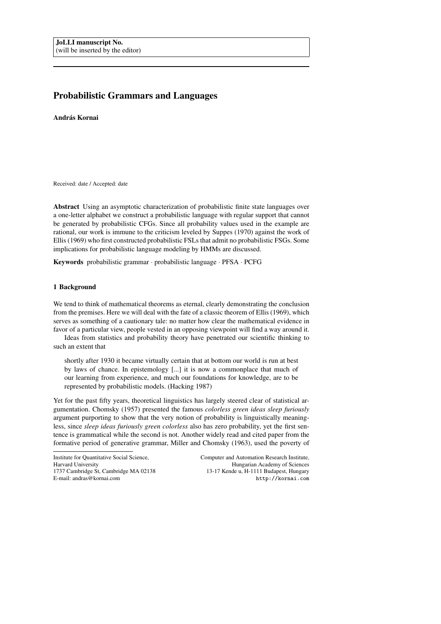# Probabilistic Grammars and Languages

András Kornai

Received: date / Accepted: date

Abstract Using an asymptotic characterization of probabilistic finite state languages over a one-letter alphabet we construct a probabilistic language with regular support that cannot be generated by probabilistic CFGs. Since all probability values used in the example are rational, our work is immune to the criticism leveled by Suppes (1970) against the work of Ellis (1969) who first constructed probabilistic FSLs that admit no probabilistic FSGs. Some implications for probabilistic language modeling by HMMs are discussed.

Keywords probabilistic grammar · probabilistic language · PFSA · PCFG

## 1 Background

We tend to think of mathematical theorems as eternal, clearly demonstrating the conclusion from the premises. Here we will deal with the fate of a classic theorem of Ellis (1969), which serves as something of a cautionary tale: no matter how clear the mathematical evidence in favor of a particular view, people vested in an opposing viewpoint will find a way around it.

Ideas from statistics and probability theory have penetrated our scientific thinking to such an extent that

shortly after 1930 it became virtually certain that at bottom our world is run at best by laws of chance. In epistemology [...] it is now a commonplace that much of our learning from experience, and much our foundations for knowledge, are to be represented by probabilistic models. (Hacking 1987)

Yet for the past fifty years, theoretical linguistics has largely steered clear of statistical argumentation. Chomsky (1957) presented the famous *colorless green ideas sleep furiously* argument purporting to show that the very notion of probability is linguistically meaningless, since *sleep ideas furiously green colorless* also has zero probability, yet the first sentence is grammatical while the second is not. Another widely read and cited paper from the formative period of generative grammar, Miller and Chomsky (1963), used the poverty of

E-mail: andras@kornai.com

Institute for Quantitative Social Science, Computer and Automation Research Institute, Hungarian Academy of Sciences<br>13-17 Kende u, H-1111 Budapest, Hungary 1737 Cambridge St, Cambridge MA 02138 13-17 Kende u, H-1111 Budapest, Hungary<br>E-mail: andras@kornai.com http://kornai.com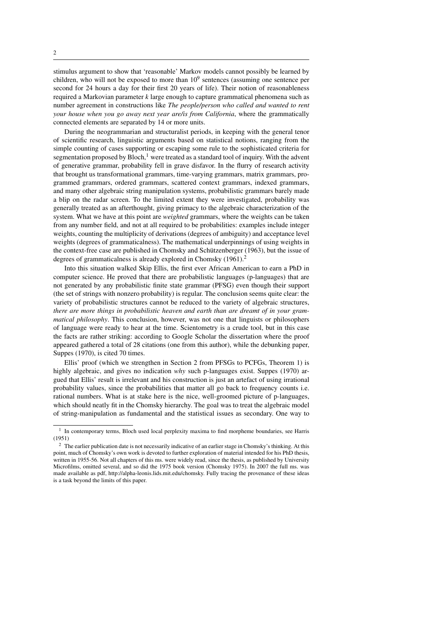stimulus argument to show that 'reasonable' Markov models cannot possibly be learned by children, who will not be exposed to more than  $10<sup>9</sup>$  sentences (assuming one sentence per second for 24 hours a day for their first 20 years of life). Their notion of reasonableness required a Markovian parameter *k* large enough to capture grammatical phenomena such as number agreement in constructions like *The people/person who called and wanted to rent your house when you go away next year are/is from California*, where the grammatically connected elements are separated by 14 or more units.

During the neogrammarian and structuralist periods, in keeping with the general tenor of scientific research, linguistic arguments based on statistical notions, ranging from the simple counting of cases supporting or escaping some rule to the sophisticated criteria for segmentation proposed by Bloch,<sup>1</sup> were treated as a standard tool of inquiry. With the advent of generative grammar, probability fell in grave disfavor. In the flurry of research activity that brought us transformational grammars, time-varying grammars, matrix grammars, programmed grammars, ordered grammars, scattered context grammars, indexed grammars, and many other algebraic string manipulation systems, probabilistic grammars barely made a blip on the radar screen. To the limited extent they were investigated, probability was generally treated as an afterthought, giving primacy to the algebraic characterization of the system. What we have at this point are *weighted* grammars, where the weights can be taken from any number field, and not at all required to be probabilities: examples include integer weights, counting the multiplicity of derivations (degrees of ambiguity) and acceptance level weights (degrees of grammaticalness). The mathematical underpinnings of using weights in the context-free case are published in Chomsky and Schützenberger (1963), but the issue of degrees of grammaticalness is already explored in Chomsky (1961).<sup>2</sup>

Into this situation walked Skip Ellis, the first ever African American to earn a PhD in computer science. He proved that there are probabilistic languages (p-languages) that are not generated by any probabilistic finite state grammar (PFSG) even though their support (the set of strings with nonzero probability) is regular. The conclusion seems quite clear: the variety of probabilistic structures cannot be reduced to the variety of algebraic structures, *there are more things in probabilistic heaven and earth than are dreamt of in your grammatical philosophy*. This conclusion, however, was not one that linguists or philosophers of language were ready to hear at the time. Scientometry is a crude tool, but in this case the facts are rather striking: according to Google Scholar the dissertation where the proof appeared gathered a total of 28 citations (one from this author), while the debunking paper, Suppes (1970), is cited 70 times.

Ellis' proof (which we strengthen in Section 2 from PFSGs to PCFGs, Theorem 1) is highly algebraic, and gives no indication *why* such p-languages exist. Suppes (1970) argued that Ellis' result is irrelevant and his construction is just an artefact of using irrational probability values, since the probabilities that matter all go back to frequency counts i.e. rational numbers. What is at stake here is the nice, well-groomed picture of p-languages, which should neatly fit in the Chomsky hierarchy. The goal was to treat the algebraic model of string-manipulation as fundamental and the statistical issues as secondary. One way to

<sup>&</sup>lt;sup>1</sup> In contemporary terms, Bloch used local perplexity maxima to find morpheme boundaries, see Harris (1951)

<sup>&</sup>lt;sup>2</sup> The earlier publication date is not necessarily indicative of an earlier stage in Chomsky's thinking. At this point, much of Chomsky's own work is devoted to further exploration of material intended for his PhD thesis, written in 1955-56. Not all chapters of this ms. were widely read, since the thesis, as published by University Microfilms, omitted several, and so did the 1975 book version (Chomsky 1975). In 2007 the full ms. was made available as pdf, http://alpha-leonis.lids.mit.edu/chomsky. Fully tracing the provenance of these ideas is a task beyond the limits of this paper.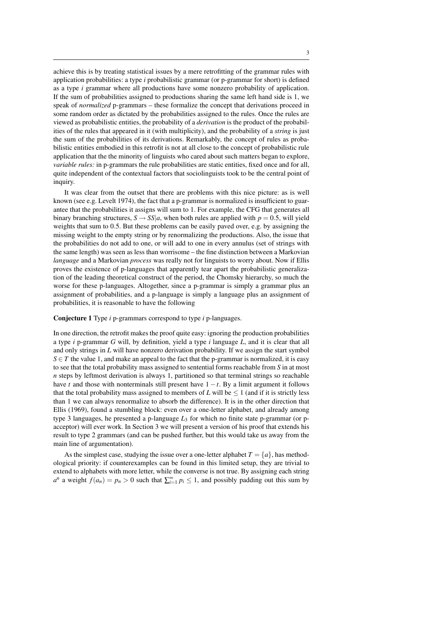achieve this is by treating statistical issues by a mere retrofitting of the grammar rules with application probabilities: a type *i* probabilistic grammar (or p-grammar for short) is defined as a type *i* grammar where all productions have some nonzero probability of application. If the sum of probabilities assigned to productions sharing the same left hand side is 1, we speak of *normalized* p-grammars – these formalize the concept that derivations proceed in some random order as dictated by the probabilities assigned to the rules. Once the rules are viewed as probabilistic entities, the probability of a *derivation* is the product of the probabilities of the rules that appeared in it (with multiplicity), and the probability of a *string* is just the sum of the probabilities of its derivations. Remarkably, the concept of rules as probabilistic entities embodied in this retrofit is not at all close to the concept of probabilistic rule application that the the minority of linguists who cared about such matters began to explore, *variable rules:* in p-grammars the rule probabilities are static entities, fixed once and for all, quite independent of the contextual factors that sociolinguists took to be the central point of inquiry.

It was clear from the outset that there are problems with this nice picture: as is well known (see e.g. Levelt 1974), the fact that a p-grammar is normalized is insufficient to guarantee that the probabilities it assigns will sum to 1. For example, the CFG that generates all binary branching structures,  $S \rightarrow SS|a$ , when both rules are applied with  $p = 0.5$ , will yield weights that sum to 0.5. But these problems can be easily paved over, e.g. by assigning the missing weight to the empty string or by renormalizing the productions. Also, the issue that the probabilities do not add to one, or will add to one in every annulus (set of strings with the same length) was seen as less than worrisome – the fine distinction between a Markovian *language* and a Markovian *process* was really not for linguists to worry about. Now if Ellis proves the existence of p-languages that apparently tear apart the probabilistic generalization of the leading theoretical construct of the period, the Chomsky hierarchy, so much the worse for these p-languages. Altogether, since a p-grammar is simply a grammar plus an assignment of probabilities, and a p-language is simply a language plus an assignment of probabilities, it is reasonable to have the following

Conjecture 1 Type *i* p-grammars correspond to type *i* p-languages.

In one direction, the retrofit makes the proof quite easy: ignoring the production probabilities a type *i* p-grammar *G* will, by definition, yield a type *i* language *L*, and it is clear that all and only strings in *L* will have nonzero derivation probability. If we assign the start symbol  $S \in T$  the value 1, and make an appeal to the fact that the p-grammar is normalized, it is easy to see that the total probability mass assigned to sentential forms reachable from *S* in at most *n* steps by leftmost derivation is always 1, partitioned so that terminal strings so reachable have *t* and those with nonterminals still present have  $1 - t$ . By a limit argument it follows that the total probability mass assigned to members of *L* will be  $\leq 1$  (and if it is strictly less than 1 we can always renormalize to absorb the difference). It is in the other direction that Ellis (1969), found a stumbling block: even over a one-letter alphabet, and already among type 3 languages, he presented a p-language  $L_3$  for which no finite state p-grammar (or pacceptor) will ever work. In Section 3 we will present a version of his proof that extends his result to type 2 grammars (and can be pushed further, but this would take us away from the main line of argumentation).

As the simplest case, studying the issue over a one-letter alphabet  $T = \{a\}$ , has methodological priority: if counterexamples can be found in this limited setup, they are trivial to extend to alphabets with more letter, while the converse is not true. By assigning each string  $a^n$  a weight  $f(a_n) = p_n > 0$  such that  $\sum_{i=1}^{\infty} p_i \le 1$ , and possibly padding out this sum by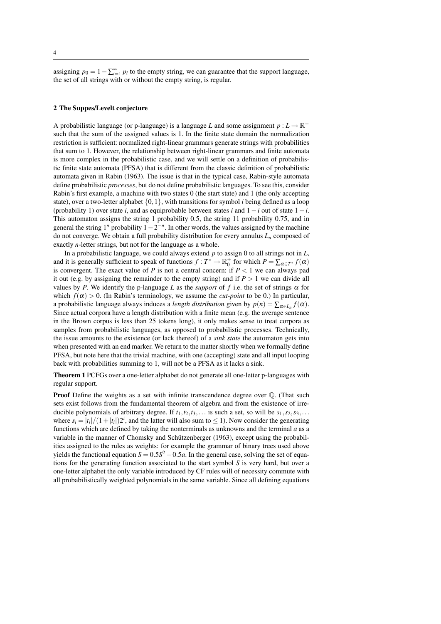assigning  $p_0 = 1 - \sum_{i=1}^{\infty} p_i$  to the empty string, we can guarantee that the support language, the set of all strings with or without the empty string, is regular.

### 2 The Suppes/Levelt conjecture

A probabilistic language (or p-language) is a language *L* and some assignment  $p: L \to \mathbb{R}^+$ such that the sum of the assigned values is 1. In the finite state domain the normalization restriction is sufficient: normalized right-linear grammars generate strings with probabilities that sum to 1. However, the relationship between right-linear grammars and finite automata is more complex in the probabilistic case, and we will settle on a definition of probabilistic finite state automata (PFSA) that is different from the classic definition of probabilistic automata given in Rabin (1963). The issue is that in the typical case, Rabin-style automata define probabilistic *processes*, but do not define probabilistic languages. To see this, consider Rabin's first example, a machine with two states 0 (the start state) and 1 (the only accepting state), over a two-letter alphabet  $\{0,1\}$ , with transitions for symbol *i* being defined as a loop (probability 1) over state *i*, and as equiprobable between states *i* and 1−*i* out of state 1−*i*. This automaton assigns the string 1 probability 0.5, the string 11 probability 0.75, and in general the string  $1^n$  probability  $1 - 2^{-n}$ . In other words, the values assigned by the machine do not converge. We obtain a full probability distribution for every annulus *L<sup>n</sup>* composed of exactly *n*-letter strings, but not for the language as a whole.

In a probabilistic language, we could always extend *p* to assign 0 to all strings not in *L*, and it is generally sufficient to speak of functions  $f: T^* \to \mathbb{R}^+_0$  for which  $P = \sum_{\alpha \in T^*} f(\alpha)$ is convergent. The exact value of  $P$  is not a central concern: if  $P < 1$  we can always pad it out (e.g. by assigning the remainder to the empty string) and if  $P > 1$  we can divide all values by *P*. We identify the p-language *L* as the *support* of *f* i.e. the set of strings  $\alpha$  for which  $f(\alpha) > 0$ . (In Rabin's terminology, we assume the *cut-point* to be 0.) In particular, a probabilistic language always induces a *length distribution* given by  $p(n) = \sum_{\alpha \in L_n} f(\alpha)$ . Since actual corpora have a length distribution with a finite mean (e.g. the average sentence in the Brown corpus is less than 25 tokens long), it only makes sense to treat corpora as samples from probabilistic languages, as opposed to probabilistic processes. Technically, the issue amounts to the existence (or lack thereof) of a *sink state* the automaton gets into when presented with an end marker. We return to the matter shortly when we formally define PFSA, but note here that the trivial machine, with one (accepting) state and all input looping back with probabilities summing to 1, will not be a PFSA as it lacks a sink.

Theorem 1 PCFGs over a one-letter alphabet do not generate all one-letter p-languages with regular support.

**Proof** Define the weights as a set with infinite transcendence degree over  $\mathbb{O}$ . (That such sets exist follows from the fundamental theorem of algebra and from the existence of irreducible polynomials of arbitrary degree. If  $t_1, t_2, t_3, \ldots$  is such a set, so will be  $s_1, s_2, s_3, \ldots$ where  $s_i = |t_i|/(1+|t_i|)2^i$ , and the latter will also sum to  $\leq 1$ ). Now consider the generating functions which are defined by taking the nonterminals as unknowns and the terminal *a* as a variable in the manner of Chomsky and Schützenberger (1963), except using the probabilities assigned to the rules as weights: for example the grammar of binary trees used above yields the functional equation  $S = 0.5S^2 + 0.5a$ . In the general case, solving the set of equations for the generating function associated to the start symbol *S* is very hard, but over a one-letter alphabet the only variable introduced by CF rules will of necessity commute with all probabilistically weighted polynomials in the same variable. Since all defining equations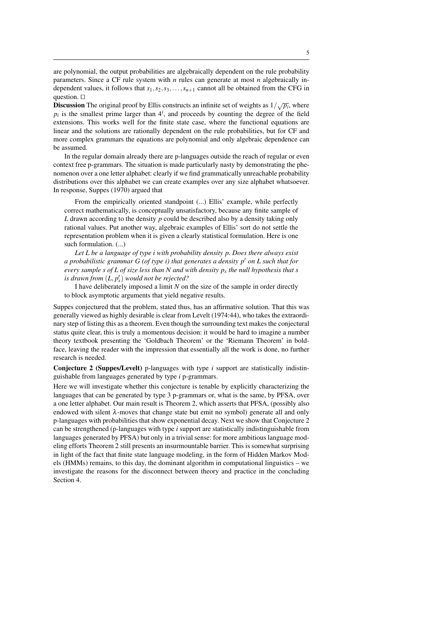are polynomial, the output probabilities are algebraically dependent on the rule probability parameters. Since a CF rule system with *n* rules can generate at most *n* algebraically independent values, it follows that  $s_1, s_2, s_3, \ldots, s_{n+1}$  cannot all be obtained from the CFG in question.  $\Box$ 

**Discussion** The original proof by Ellis constructs an infinite set of weights as  $1/\sqrt{p_i}$ , where  $p_i$  is the smallest prime larger than  $4^i$ , and proceeds by counting the degree of the field extensions. This works well for the finite state case, where the functional equations are linear and the solutions are rationally dependent on the rule probabilities, but for CF and more complex grammars the equations are polynomial and only algebraic dependence can be assumed.

In the regular domain already there are p-languages outside the reach of regular or even context free p-grammars. The situation is made particularly nasty by demonstrating the phenomenon over a one letter alphabet: clearly if we find grammatically unreachable probability distributions over this alphabet we can create examples over any size alphabet whatsoever. In response, Suppes (1970) argued that

From the empirically oriented standpoint (...) Ellis' example, while perfectly correct mathematically, is conceptually unsatisfactory, because any finite sample of *L* drawn according to the density *p* could be described also by a density taking only rational values. Put another way, algebraic examples of Ellis' sort do not settle the representation problem when it is given a clearly statistical formulation. Here is one such formulation. (...)

*Let L be a language of type i with probability density p. Does there always exist a probabilistic grammar G (of type i) that generates a density p' on L such that for every sample s of L of size less than N and with density p<sup>s</sup> the null hypothesis that s* is drawn from  $(L, p'_{s})$  would not be rejected?

I have deliberately imposed a limit *N* on the size of the sample in order directly to block asymptotic arguments that yield negative results.

Suppes conjectured that the problem, stated thus, has an affirmative solution. That this was generally viewed as highly desirable is clear from Levelt (1974:44), who takes the extraordinary step of listing this as a theorem. Even though the surrounding text makes the conjectural status quite clear, this is truly a momentous decision: it would be hard to imagine a number theory textbook presenting the 'Goldbach Theorem' or the 'Riemann Theorem' in boldface, leaving the reader with the impression that essentially all the work is done, no further research is needed.

Conjecture 2 (Suppes/Levelt) p-languages with type *i* support are statistically indistinguishable from languages generated by type *i* p-grammars.

Here we will investigate whether this conjecture is tenable by explicitly characterizing the languages that can be generated by type 3 p-grammars or, what is the same, by PFSA, over a one letter alphabet. Our main result is Theorem 2, which asserts that PFSA, (possibly also endowed with silent  $\lambda$ -moves that change state but emit no symbol) generate all and only p-languages with probabilities that show exponential decay. Next we show that Conjecture 2 can be strengthened (p-languages with type *i* support are statistically indistinguishable from languages generated by PFSA) but only in a trivial sense: for more ambitious language modeling efforts Theorem 2 still presents an insurmountable barrier. This is somewhat surprising in light of the fact that finite state language modeling, in the form of Hidden Markov Models (HMMs) remains, to this day, the dominant algorithm in computational linguistics – we investigate the reasons for the disconnect between theory and practice in the concluding Section 4.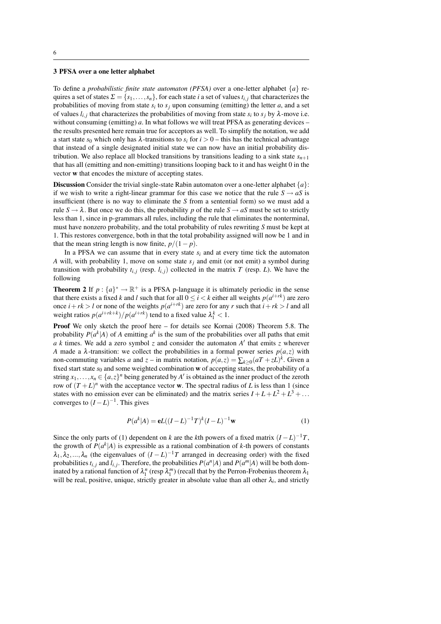#### 3 PFSA over a one letter alphabet

To define a *probabilistic finite state automaton (PFSA)* over a one-letter alphabet {*a*} requires a set of states  $\Sigma = \{s_1, \ldots, s_n\}$ , for each state *i* a set of values  $t_{i,j}$  that characterizes the probabilities of moving from state  $s_i$  to  $s_j$  upon consuming (emitting) the letter  $a$ , and a set of values  $l_{i,j}$  that characterizes the probabilities of moving from state  $s_i$  to  $s_j$  by  $\lambda$ -move i.e. without consuming (emitting) *a*. In what follows we will treat PFSA as generating devices – the results presented here remain true for acceptors as well. To simplify the notation, we add a start state  $s_0$  which only has  $\lambda$ -transitions to  $s_i$  for  $i > 0$  – this has the technical advantage that instead of a single designated initial state we can now have an initial probability distribution. We also replace all blocked transitions by transitions leading to a sink state  $s_{n+1}$ that has all (emitting and non-emitting) transitions looping back to it and has weight 0 in the vector w that encodes the mixture of accepting states.

**Discussion** Consider the trivial single-state Rabin automaton over a one-letter alphabet  $\{a\}$ : if we wish to write a right-linear grammar for this case we notice that the rule  $S \rightarrow aS$  is insufficient (there is no way to eliminate the *S* from a sentential form) so we must add a rule  $S \to \lambda$ . But once we do this, the probability *p* of the rule  $S \to aS$  must be set to strictly less than 1, since in p-grammars all rules, including the rule that eliminates the nonterminal, must have nonzero probability, and the total probability of rules rewriting *S* must be kept at 1. This restores convergence, both in that the total probability assigned will now be 1 and in that the mean string length is now finite,  $p/(1-p)$ .

In a PFSA we can assume that in every state  $s_i$  and at every time tick the automaton *A* will, with probability 1, move on some state *s<sup>j</sup>* and emit (or not emit) a symbol during transition with probability  $t_{i,i}$  (resp.  $l_{i,i}$ ) collected in the matrix *T* (resp. *L*). We have the following

**Theorem 2** If  $p: \{a\}^* \to \mathbb{R}^+$  is a PFSA p-language it is ultimately periodic in the sense that there exists a fixed *k* and *l* such that for all  $0 \le i < k$  either all weights  $p(a^{i+rk})$  are zero once  $i + rk > l$  or none of the weights  $p(a^{i+rk})$  are zero for any *r* such that  $i + rk > l$  and all weight ratios  $p(a^{i+rk+k})/p(a^{i+rk})$  tend to a fixed value  $\lambda_1^k < 1$ .

Proof We only sketch the proof here – for details see Kornai (2008) Theorem 5.8. The probability  $P(a^k|A)$  of *A* emitting  $a^k$  is the sum of the probabilities over all paths that emit  $a \, k$  times. We add a zero symbol  $z$  and consider the automaton  $A'$  that emits  $z$  wherever *A* made a  $\lambda$ -transition: we collect the probabilities in a formal power series  $p(a,z)$  with non-commuting variables *a* and *z* – in matrix notation,  $p(a,z) = \sum_{k \ge 0} (aT + zL)^k$ . Given a fixed start state  $s_0$  and some weighted combination w of accepting states, the probability of a string  $x_1, \ldots, x_n \in \{a, z\}^n$  being generated by *A'* is obtained as the inner product of the zeroth row of  $(T + L)^n$  with the acceptance vector w. The spectral radius of *L* is less than 1 (since states with no emission ever can be eliminated) and the matrix series  $I + L + L^2 + L^3 + ...$ converges to  $(I - L)^{-1}$ . This gives

$$
P(a^k|A) = eL((I-L)^{-1}T)^k(I-L)^{-1}\mathbf{w}
$$
 (1)

Since the only parts of (1) dependent on *k* are the *k*th powers of a fixed matrix  $(I - L)^{-1}T$ , the growth of  $P(a^k|A)$  is expressible as a rational combination of *k*-th powers of constants  $\lambda_1, \lambda_2, ..., \lambda_n$  (the eigenvalues of  $(I - L)^{-1}T$  arranged in decreasing order) with the fixed probabilities  $t_{i,j}$  and  $l_{i,j}$ . Therefore, the probabilities  $P(a^n|A)$  and  $P(a^m|A)$  will be both dominated by a rational function of  $\lambda_1^n$  (resp  $\lambda_1^m$ ) (recall that by the Perron-Frobenius theorem  $\lambda_1$ will be real, positive, unique, strictly greater in absolute value than all other  $\lambda_i$ , and strictly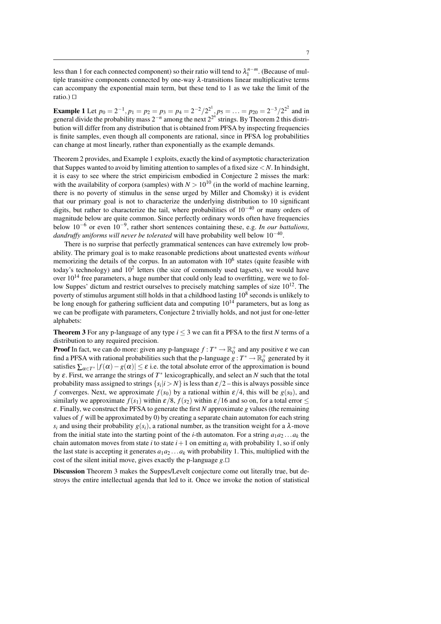less than 1 for each connected component) so their ratio will tend to  $\lambda_1^{n-m}$ . (Because of multiple transitive components connected by one-way  $\lambda$ -transitions linear multiplicative terms can accompany the exponential main term, but these tend to 1 as we take the limit of the ratio.)  $\Box$ 

**Example 1** Let  $p_0 = 2^{-1}$ ,  $p_1 = p_2 = p_3 = p_4 = 2^{-2}/2^{2^1}$ ,  $p_5 = \ldots = p_{20} = 2^{-3}/2^{2^2}$  and in general divide the probability mass  $2^{-n}$  among the next  $2^{2^{n}}$  strings. By Theorem 2 this distribution will differ from any distribution that is obtained from PFSA by inspecting frequencies is finite samples, even though all components are rational, since in PFSA log probabilities can change at most linearly, rather than exponentially as the example demands.

Theorem 2 provides, and Example 1 exploits, exactly the kind of asymptotic characterization that Suppes wanted to avoid by limiting attention to samples of a fixed size  $\lt N$ . In hindsight, it is easy to see where the strict empiricism embodied in Conjecture 2 misses the mark: with the availability of corpora (samples) with  $N > 10^{10}$  (in the world of machine learning, there is no poverty of stimulus in the sense urged by Miller and Chomsky) it is evident that our primary goal is not to characterize the underlying distribution to 10 significant digits, but rather to characterize the tail, where probabilities of  $10^{-40}$  or many orders of magnitude below are quite common. Since perfectly ordinary words often have frequencies below 10−<sup>6</sup> or even 10−<sup>9</sup> , rather short sentences containing these, e.g. *In our battalions, dandruffy uniforms will never be tolerated* will have probability well below 10−<sup>40</sup> .

There is no surprise that perfectly grammatical sentences can have extremely low probability. The primary goal is to make reasonable predictions about unattested events *without* memorizing the details of the corpus. In an automaton with  $10<sup>6</sup>$  states (quite feasible with today's technology) and  $10^2$  letters (the size of commonly used tagsets), we would have over  $10^{14}$  free parameters, a huge number that could only lead to overfitting, were we to follow Suppes' dictum and restrict ourselves to precisely matching samples of size  $10^{12}$ . The poverty of stimulus argument still holds in that a childhood lasting  $10^8$  seconds is unlikely to be long enough for gathering sufficient data and computing  $10^{14}$  parameters, but as long as we can be profligate with parameters, Conjecture 2 trivially holds, and not just for one-letter alphabets:

**Theorem 3** For any p-language of any type  $i \leq 3$  we can fit a PFSA to the first *N* terms of a distribution to any required precision.

**Proof** In fact, we can do more: given any p-language  $f: T^* \to \mathbb{R}_0^+$  and any positive  $\varepsilon$  we can find a PFSA with rational probabilities such that the p-language  $g: T^* \to \mathbb{R}^+_0$  generated by it satisfies  $\sum_{\alpha \in T^*} |f(\alpha) - g(\alpha)| \leq \varepsilon$  i.e. the total absolute error of the approximation is bound by ε. First, we arrange the strings of *T* ∗ lexicographically, and select an *N* such that the total probability mass assigned to strings  $\{s_i | i > N\}$  is less than  $\varepsilon/2$  – this is always possible since *f* converges. Next, we approximate  $f(s_0)$  by a rational within  $\varepsilon/4$ , this will be  $g(s_0)$ , and similarly we approximate  $f(s_1)$  within  $\varepsilon/8$ ,  $f(s_2)$  within  $\varepsilon/16$  and so on, for a total error  $\leq$  $\varepsilon$ . Finally, we construct the PFSA to generate the first *N* approximate *g* values (the remaining values of *f* will be approximated by 0) by creating a separate chain automaton for each string  $s_i$  and using their probability  $g(s_i)$ , a rational number, as the transition weight for a  $\lambda$ -move from the initial state into the starting point of the *i*-th automaton. For a string  $a_1a_2...a_k$  the chain automaton moves from state *i* to state  $i+1$  on emitting  $a_i$  with probability 1, so if only the last state is accepting it generates  $a_1a_2 \ldots a_k$  with probability 1. This, multiplied with the cost of the silent initial move, gives exactly the p-language  $g.\Box$ 

Discussion Theorem 3 makes the Suppes/Levelt conjecture come out literally true, but destroys the entire intellectual agenda that led to it. Once we invoke the notion of statistical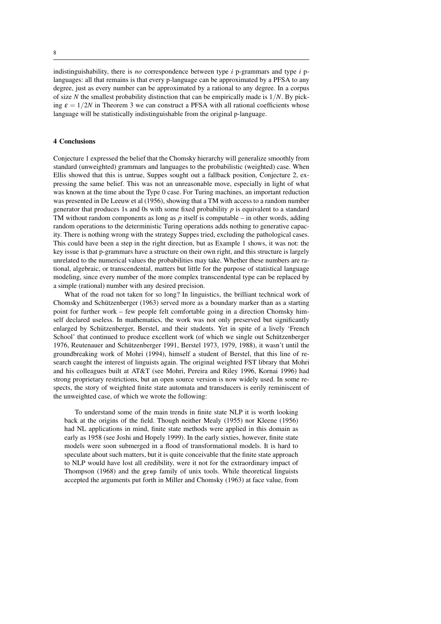indistinguishability, there is *no* correspondence between type *i* p-grammars and type *i* planguages: all that remains is that every p-language can be approximated by a PFSA to any degree, just as every number can be approximated by a rational to any degree. In a corpus of size *N* the smallest probability distinction that can be empirically made is 1/*N*. By picking  $\varepsilon = 1/2N$  in Theorem 3 we can construct a PFSA with all rational coefficients whose language will be statistically indistinguishable from the original p-language.

### 4 Conclusions

Conjecture 1 expressed the belief that the Chomsky hierarchy will generalize smoothly from standard (unweighted) grammars and languages to the probabilistic (weighted) case. When Ellis showed that this is untrue, Suppes sought out a fallback position, Conjecture 2, expressing the same belief. This was not an unreasonable move, especially in light of what was known at the time about the Type 0 case. For Turing machines, an important reduction was presented in De Leeuw et al (1956), showing that a TM with access to a random number generator that produces 1s and 0s with some fixed probability *p* is equivalent to a standard TM without random components as long as *p* itself is computable – in other words, adding random operations to the deterministic Turing operations adds nothing to generative capacity. There is nothing wrong with the strategy Suppes tried, excluding the pathological cases. This could have been a step in the right direction, but as Example 1 shows, it was not: the key issue is that p-grammars have a structure on their own right, and this structure is largely unrelated to the numerical values the probabilities may take. Whether these numbers are rational, algebraic, or transcendental, matters but little for the purpose of statistical language modeling, since every number of the more complex transcendental type can be replaced by a simple (rational) number with any desired precision.

What of the road not taken for so long? In linguistics, the brilliant technical work of Chomsky and Schützenberger (1963) served more as a boundary marker than as a starting point for further work – few people felt comfortable going in a direction Chomsky himself declared useless. In mathematics, the work was not only preserved but significantly enlarged by Schützenberger, Berstel, and their students. Yet in spite of a lively 'French School' that continued to produce excellent work (of which we single out Schützenberger 1976, Reutenauer and Schützenberger 1991, Berstel 1973, 1979, 1988), it wasn't until the groundbreaking work of Mohri (1994), himself a student of Berstel, that this line of research caught the interest of linguists again. The original weighted FST library that Mohri and his colleagues built at AT&T (see Mohri, Pereira and Riley 1996, Kornai 1996) had strong proprietary restrictions, but an open source version is now widely used. In some respects, the story of weighted finite state automata and transducers is eerily reminiscent of the unweighted case, of which we wrote the following:

To understand some of the main trends in finite state NLP it is worth looking back at the origins of the field. Though neither Mealy (1955) nor Kleene (1956) had NL applications in mind, finite state methods were applied in this domain as early as 1958 (see Joshi and Hopely 1999). In the early sixties, however, finite state models were soon submerged in a flood of transformational models. It is hard to speculate about such matters, but it is quite conceivable that the finite state approach to NLP would have lost all credibility, were it not for the extraordinary impact of Thompson (1968) and the grep family of unix tools. While theoretical linguists accepted the arguments put forth in Miller and Chomsky (1963) at face value, from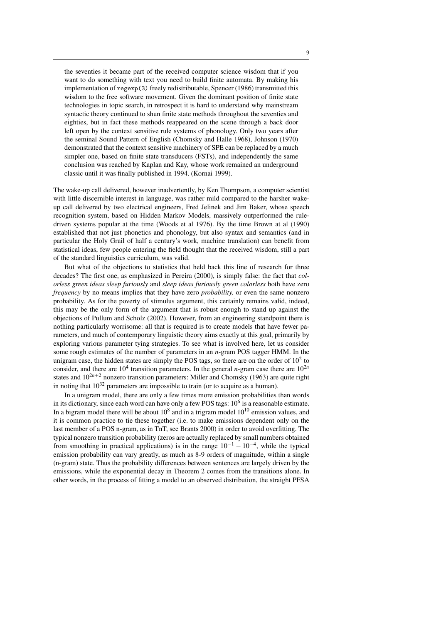the seventies it became part of the received computer science wisdom that if you want to do something with text you need to build finite automata. By making his implementation of regexp(3) freely redistributable, Spencer (1986) transmitted this wisdom to the free software movement. Given the dominant position of finite state technologies in topic search, in retrospect it is hard to understand why mainstream syntactic theory continued to shun finite state methods throughout the seventies and eighties, but in fact these methods reappeared on the scene through a back door left open by the context sensitive rule systems of phonology. Only two years after the seminal Sound Pattern of English (Chomsky and Halle 1968), Johnson (1970) demonstrated that the context sensitive machinery of SPE can be replaced by a much simpler one, based on finite state transducers (FSTs), and independently the same conclusion was reached by Kaplan and Kay, whose work remained an underground classic until it was finally published in 1994. (Kornai 1999).

The wake-up call delivered, however inadvertently, by Ken Thompson, a computer scientist with little discernible interest in language, was rather mild compared to the harsher wakeup call delivered by two electrical engineers, Fred Jelinek and Jim Baker, whose speech recognition system, based on Hidden Markov Models, massively outperformed the ruledriven systems popular at the time (Woods et al 1976). By the time Brown at al (1990) established that not just phonetics and phonology, but also syntax and semantics (and in particular the Holy Grail of half a century's work, machine translation) can benefit from statistical ideas, few people entering the field thought that the received wisdom, still a part of the standard linguistics curriculum, was valid.

But what of the objections to statistics that held back this line of research for three decades? The first one, as emphasized in Pereira (2000), is simply false: the fact that *colorless green ideas sleep furiously* and *sleep ideas furiously green colorless* both have zero *frequency* by no means implies that they have zero *probability,* or even the same nonzero probability. As for the poverty of stimulus argument, this certainly remains valid, indeed, this may be the only form of the argument that is robust enough to stand up against the objections of Pullum and Scholz (2002). However, from an engineering standpoint there is nothing particularly worrisome: all that is required is to create models that have fewer parameters, and much of contemporary linguistic theory aims exactly at this goal, primarily by exploring various parameter tying strategies. To see what is involved here, let us consider some rough estimates of the number of parameters in an *n*-gram POS tagger HMM. In the unigram case, the hidden states are simply the POS tags, so there are on the order of  $10<sup>2</sup>$  to consider, and there are  $10^4$  transition parameters. In the general *n*-gram case there are  $10^{2n}$ states and  $10^{2n+2}$  nonzero transition parameters: Miller and Chomsky (1963) are quite right in noting that  $10^{32}$  parameters are impossible to train (or to acquire as a human).

In a unigram model, there are only a few times more emission probabilities than words in its dictionary, since each word can have only a few POS tags:  $10<sup>6</sup>$  is a reasonable estimate. In a bigram model there will be about  $10^8$  and in a trigram model  $10^{10}$  emission values, and it is common practice to tie these together (i.e. to make emissions dependent only on the last member of a POS n-gram, as in TnT, see Brants 2000) in order to avoid overfitting. The typical nonzero transition probability (zeros are actually replaced by small numbers obtained from smoothing in practical applications) is in the range  $10^{-1} - 10^{-4}$ , while the typical emission probability can vary greatly, as much as 8-9 orders of magnitude, within a single (n-gram) state. Thus the probability differences between sentences are largely driven by the emissions, while the exponential decay in Theorem 2 comes from the transitions alone. In other words, in the process of fitting a model to an observed distribution, the straight PFSA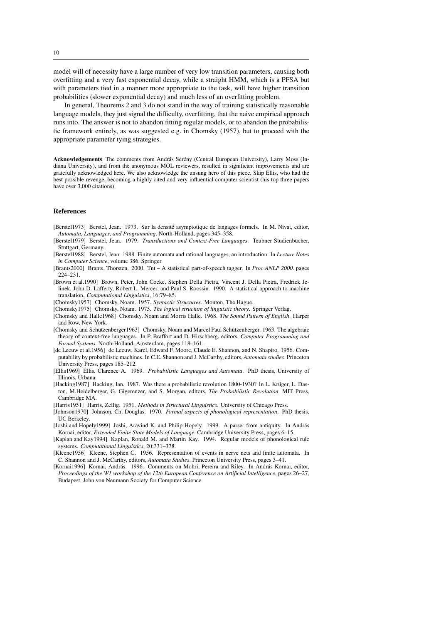model will of necessity have a large number of very low transition parameters, causing both overfitting and a very fast exponential decay, while a straight HMM, which is a PFSA but with parameters tied in a manner more appropriate to the task, will have higher transition probabilities (slower exponential decay) and much less of an overfitting problem.

In general, Theorems 2 and 3 do not stand in the way of training statistically reasonable language models, they just signal the difficulty, overfitting, that the naive empirical approach runs into. The answer is not to abandon fitting regular models, or to abandon the probabilistic framework entirely, as was suggested e.g. in Chomsky (1957), but to proceed with the appropriate parameter tying strategies.

Acknowledgements The comments from András Serény (Central European University), Larry Moss (Indiana University), and from the anonymous MOL reviewers, resulted in significant improvements and are gratefully acknowledged here. We also acknowledge the unsung hero of this piece, Skip Ellis, who had the best possible revenge, becoming a highly cited and very influential computer scientist (his top three papers have over 3,000 citations).

#### References

- [Berstel1973] Berstel, Jean. 1973. Sur la densité asymptotique de langages formels. In M. Nivat, editor, *Automata, Languages, and Programming*. North-Holland, pages 345–358.
- [Berstel1979] Berstel, Jean. 1979. *Transductions and Context-Free Languages*. Teubner Studienbücher, Stuttgart, Germany.
- [Berstel1988] Berstel, Jean. 1988. Finite automata and rational languages, an introduction. In *Lecture Notes in Computer Science*, volume 386. Springer.
- [Brants2000] Brants, Thorsten. 2000. Tnt A statistical part-of-speech tagger. In *Proc ANLP 2000*. pages 224–231.
- [Brown et al.1990] Brown, Peter, John Cocke, Stephen Della Pietra, Vincent J. Della Pietra, Fredrick Jelinek, John D. Lafferty, Robert L. Mercer, and Paul S. Roossin. 1990. A statistical approach to machine translation. *Computational Linguistics*, 16:79–85.
- [Chomsky1957] Chomsky, Noam. 1957. *Syntactic Structures*. Mouton, The Hague.
- [Chomsky1975] Chomsky, Noam. 1975. *The logical structure of linguistic theory*. Springer Verlag.
- [Chomsky and Halle1968] Chomsky, Noam and Morris Halle. 1968. *The Sound Pattern of English*. Harper and Row, New York.
- [Chomsky and Schützenberger1963] Chomsky, Noam and Marcel Paul Schützenberger. 1963. The algebraic theory of context-free languages. In P. Braffort and D. Hirschberg, editors, *Computer Programming and Formal Systems*. North-Holland, Amsterdam, pages 118–161.
- [de Leeuw et al.1956] de Leeuw, Karel, Edward F. Moore, Claude E. Shannon, and N. Shapiro. 1956. Computability by probabilistic machines. In C.E. Shannon and J. McCarthy, editors, *Automata studies*. Princeton University Press, pages 185–212.
- [Ellis1969] Ellis, Clarence A. 1969. *Probabilistic Languages and Automata*. PhD thesis, University of Illinois, Urbana.
- [Hacking1987] Hacking, Ian. 1987. Was there a probabilistic revolution 1800-1930? In L. Krüger, L. Daston, M.Heidelberger, G. Gigerenzer, and S. Morgan, editors, *The Probabilistic Revolution*. MIT Press, Cambridge MA.

[Harris1951] Harris, Zellig. 1951. *Methods in Structural Linguistics*. University of Chicago Press.

- [Johnson1970] Johnson, Ch. Douglas. 1970. *Formal aspects of phonological representation*. PhD thesis, UC Berkeley.
- [Joshi and Hopely1999] Joshi, Aravind K. and Philip Hopely. 1999. A parser from antiquity. In András Kornai, editor, *Extended Finite State Models of Language*. Cambridge University Press, pages 6–15.
- [Kaplan and Kay1994] Kaplan, Ronald M. and Martin Kay. 1994. Regular models of phonological rule systems. *Computational Linguistics*, 20:331–378.
- [Kleene1956] Kleene, Stephen C. 1956. Representation of events in nerve nets and finite automata. In C. Shannon and J. McCarthy, editors, *Automata Studies*. Princeton University Press, pages 3–41.
- [Kornai1996] Kornai, András. 1996. Comments on Mohri, Pereira and Riley. In András Kornai, editor, *Proceedings of the W1 workshop of the 12th European Conference on Artificial Intelligence*, pages 26–27, Budapest. John von Neumann Society for Computer Science.